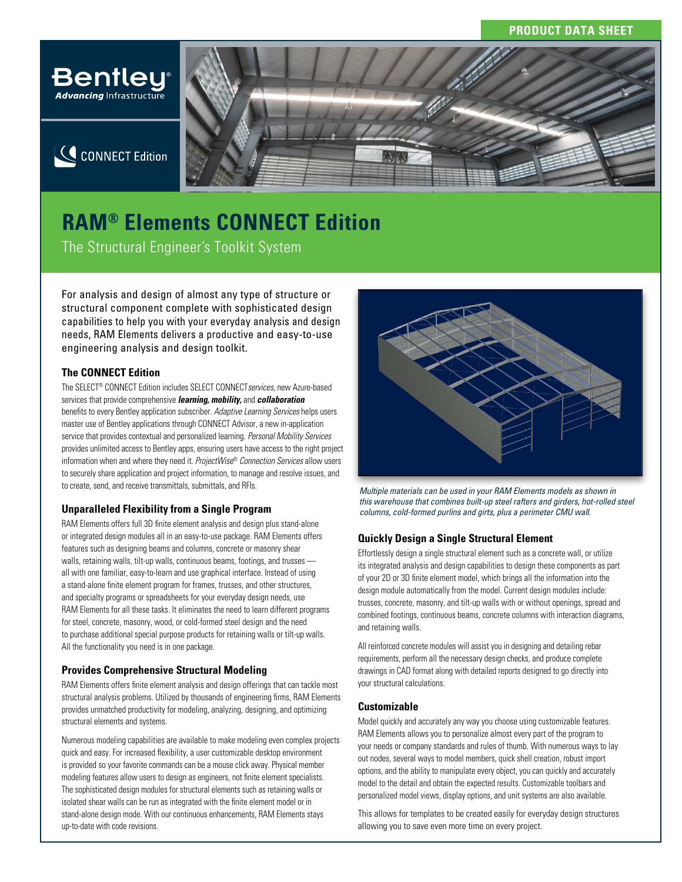

# **CONNECT Edition**



# **RAM® Elements CONNECT Edition**

The Structural Engineer's Toolkit System

For analysis and design of almost any type of structure or structural component complete with sophisticated design capabilities to help you with your everyday analysis and design needs, RAM Elements delivers a productive and easy-to-use engineering analysis and design toolkit.

# **The CONNECT Edition**

The SELECT® CONNECT Edition includes SELECT CONNECT*services,* new Azure-based services that provide comprehensive *learning, mobility,* and *collaboration* benefits to every Bentley application subscriber. *Adaptive Learning Services* helps users master use of Bentley applications through CONNECT Advisor, a new in-application service that provides contextual and personalized learning. *Personal Mobility Services* provides unlimited access to Bentley apps, ensuring users have access to the right project information when and where they need it. *ProjectWise*® *Connection Services* allow users to securely share application and project information, to manage and resolve issues, and to create, send, and receive transmittals, submittals, and RFIs.

## **Unparalleled Flexibility from a Single Program**

RAM Elements offers full 3D finite element analysis and design plus stand-alone or integrated design modules all in an easy-to-use package. RAM Elements offers features such as designing beams and columns, concrete or masonry shear walls, retaining walls, tilt-up walls, continuous beams, footings, and trusses all with one familiar, easy-to-learn and use graphical interface. Instead of using a stand-alone finite element program for frames, trusses, and other structures, and specialty programs or spreadsheets for your everyday design needs, use RAM Elements for all these tasks. It eliminates the need to learn different programs for steel, concrete, masonry, wood, or cold-formed steel design and the need to purchase additional special purpose products for retaining walls or tilt-up walls. All the functionality you need is in one package.

# **Provides Comprehensive Structural Modeling**

RAM Elements offers finite element analysis and design offerings that can tackle most structural analysis problems. Utilized by thousands of engineering firms, RAM Elements provides unmatched productivity for modeling, analyzing, designing, and optimizing structural elements and systems.

Numerous modeling capabilities are available to make modeling even complex projects quick and easy. For increased flexibility, a user customizable desktop environment is provided so your favorite commands can be a mouse click away. Physical member modeling features allow users to design as engineers, not finite element specialists. The sophisticated design modules for structural elements such as retaining walls or isolated shear walls can be run as integrated with the finite element model or in stand-alone design mode. With our continuous enhancements, RAM Elements stays up-to-date with code revisions.



*Multiple materials can be used in your RAM Elements models as shown in this warehouse that combines built-up steel rafters and girders, hot-rolled steel columns, cold-formed purlins and girts, plus a perimeter CMU wall.*

## **Quickly Design a Single Structural Element**

Effortlessly design a single structural element such as a concrete wall, or utilize its integrated analysis and design capabilities to design these components as part of your 2D or 3D finite element model, which brings all the information into the design module automatically from the model. Current design modules include: trusses, concrete, masonry, and tilt-up walls with or without openings, spread and combined footings, continuous beams, concrete columns with interaction diagrams, and retaining walls.

All reinforced concrete modules will assist you in designing and detailing rebar requirements, perform all the necessary design checks, and produce complete drawings in CAD format along with detailed reports designed to go directly into your structural calculations.

### **Customizable**

Model quickly and accurately any way you choose using customizable features. RAM Elements allows you to personalize almost every part of the program to your needs or company standards and rules of thumb. With numerous ways to lay out nodes, several ways to model members, quick shell creation, robust import options, and the ability to manipulate every object, you can quickly and accurately model to the detail and obtain the expected results. Customizable toolbars and personalized model views, display options, and unit systems are also available.

This allows for templates to be created easily for everyday design structures allowing you to save even more time on every project.